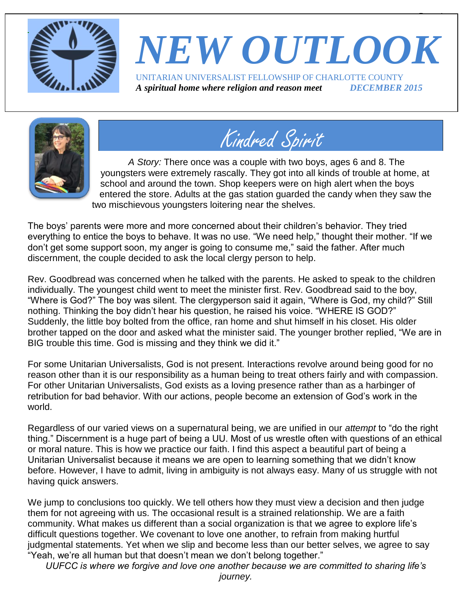

# *NEW OUTLOOK* UNITARIAN UNIVERSALIST FELLOWSHIP OF CHARLOTTE COUNTY

 $\overline{\phantom{a}}$ 

*A spiritual home where religion and reason meet DECEMBER 2015*





*A Story:* There once was a couple with two boys, ages 6 and 8. The youngsters were extremely rascally. They got into all kinds of trouble at home, at school and around the town. Shop keepers were on high alert when the boys entered the store. Adults at the gas station guarded the candy when they saw the two mischievous youngsters loitering near the shelves.

The boys' parents were more and more concerned about their children's behavior. They tried everything to entice the boys to behave. It was no use. "We need help," thought their mother. "If we don't get some support soon, my anger is going to consume me," said the father. After much discernment, the couple decided to ask the local clergy person to help.

Rev. Goodbread was concerned when he talked with the parents. He asked to speak to the children individually. The youngest child went to meet the minister first. Rev. Goodbread said to the boy, "Where is God?" The boy was silent. The clergyperson said it again, "Where is God, my child?" Still nothing. Thinking the boy didn't hear his question, he raised his voice. "WHERE IS GOD?" Suddenly, the little boy bolted from the office, ran home and shut himself in his closet. His older brother tapped on the door and asked what the minister said. The younger brother replied, "We are in BIG trouble this time. God is missing and they think we did it."

For some Unitarian Universalists, God is not present. Interactions revolve around being good for no reason other than it is our responsibility as a human being to treat others fairly and with compassion. For other Unitarian Universalists, God exists as a loving presence rather than as a harbinger of retribution for bad behavior. With our actions, people become an extension of God's work in the world.

Regardless of our varied views on a supernatural being, we are unified in our *attempt* to "do the right thing." Discernment is a huge part of being a UU. Most of us wrestle often with questions of an ethical or moral nature. This is how we practice our faith. I find this aspect a beautiful part of being a Unitarian Universalist because it means we are open to learning something that we didn't know before. However, I have to admit, living in ambiguity is not always easy. Many of us struggle with not having quick answers.

We jump to conclusions too quickly. We tell others how they must view a decision and then judge them for not agreeing with us. The occasional result is a strained relationship. We are a faith community. What makes us different than a social organization is that we agree to explore life's difficult questions together. We covenant to love one another, to refrain from making hurtful judgmental statements. Yet when we slip and become less than our better selves, we agree to say "Yeah, we're all human but that doesn't mean we don't belong together."

*UUFCC is where we forgive and love one another because we are committed to sharing life's*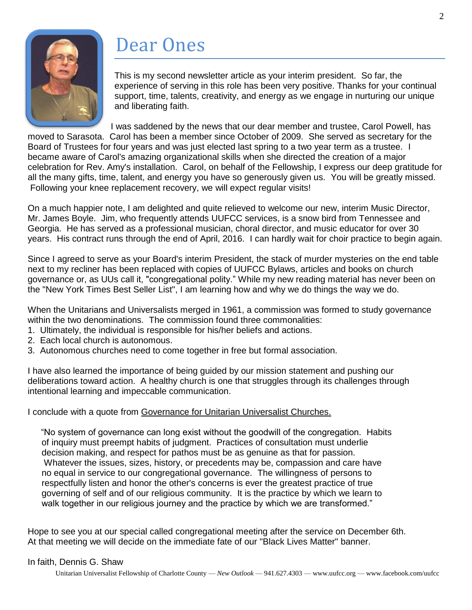

# Dear Ones

This is my second newsletter article as your interim president. So far, the experience of serving in this role has been very positive. Thanks for your continual support, time, talents, creativity, and energy as we engage in nurturing our unique and liberating faith.

I was saddened by the news that our dear member and trustee, Carol Powell, has moved to Sarasota. Carol has been a member since October of 2009. She served as secretary for the Board of Trustees for four years and was just elected last spring to a two year term as a trustee. I became aware of Carol's amazing organizational skills when she directed the creation of a major celebration for Rev. Amy's installation. Carol, on behalf of the Fellowship, I express our deep gratitude for all the many gifts, time, talent, and energy you have so generously given us. You will be greatly missed. Following your knee replacement recovery, we will expect regular visits!

On a much happier note, I am delighted and quite relieved to welcome our new, interim Music Director, Mr. James Boyle. Jim, who frequently attends UUFCC services, is a snow bird from Tennessee and Georgia. He has served as a professional musician, choral director, and music educator for over 30 years. His contract runs through the end of April, 2016. I can hardly wait for choir practice to begin again.

Since I agreed to serve as your Board's interim President, the stack of murder mysteries on the end table next to my recliner has been replaced with copies of UUFCC Bylaws, articles and books on church governance or, as UUs call it, "congregational polity." While my new reading material has never been on the "New York Times Best Seller List", I am learning how and why we do things the way we do.

When the Unitarians and Universalists merged in 1961, a commission was formed to study governance within the two denominations. The commission found three commonalities:

- 1. Ultimately, the individual is responsible for his/her beliefs and actions.
- 2. Each local church is autonomous.
- 3. Autonomous churches need to come together in free but formal association.

I have also learned the importance of being guided by our mission statement and pushing our deliberations toward action. A healthy church is one that struggles through its challenges through intentional learning and impeccable communication.

#### I conclude with a quote from Governance for Unitarian Universalist Churches.

 "No system of governance can long exist without the goodwill of the congregation. Habits of inquiry must preempt habits of judgment. Practices of consultation must underlie decision making, and respect for pathos must be as genuine as that for passion. Whatever the issues, sizes, history, or precedents may be, compassion and care have no equal in service to our congregational governance. The willingness of persons to respectfully listen and honor the other's concerns is ever the greatest practice of true governing of self and of our religious community. It is the practice by which we learn to walk together in our religious journey and the practice by which we are transformed."

Hope to see you at our special called congregational meeting after the service on December 6th. At that meeting we will decide on the immediate fate of our "Black Lives Matter" banner.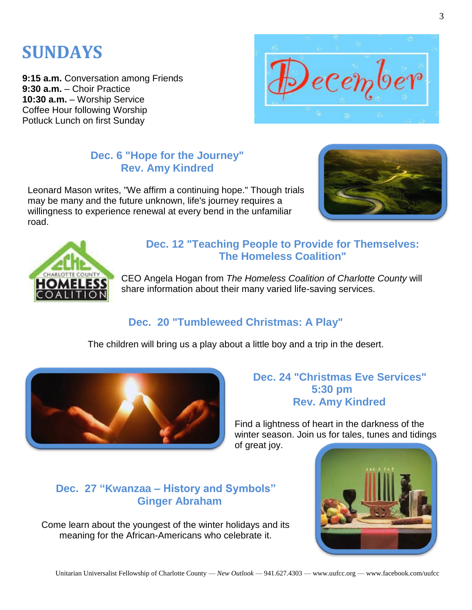## **SUNDAYS**

**9:15 a.m.** Conversation among Friends **9:30 a.m.** – Choir Practice **10:30 a.m.** – Worship Service Coffee Hour following Worship Potluck Lunch on first Sunday



### **Dec. 6 "Hope for the Journey" Rev. Amy Kindred**

Leonard Mason writes, "We affirm a continuing hope." Though trials may be many and the future unknown, life's journey requires a willingness to experience renewal at every bend in the unfamiliar road.





#### **Dec. 12 "Teaching People to Provide for Themselves: The Homeless Coalition"**

CEO Angela Hogan from *The Homeless Coalition of Charlotte County* will share information about their many varied life-saving services.

### **Dec. 20 "Tumbleweed Christmas: A Play"**

The children will bring us a play about a little boy and a trip in the desert.



#### **Dec. 24 "Christmas Eve Services" 5:30 pm Rev. Amy Kindred**

Find a lightness of heart in the darkness of the winter season. Join us for tales, tunes and tidings

of great joy.

### **Dec. 27 "Kwanzaa – History and Symbols" Ginger Abraham**

Come learn about the youngest of the winter holidays and its meaning for the African-Americans who celebrate it.

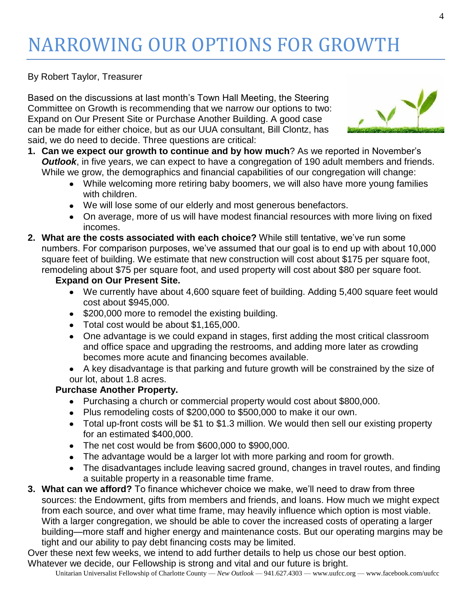# NARROWING OUR OPTIONS FOR GROWTH

By Robert Taylor, Treasurer

Based on the discussions at last month's Town Hall Meeting, the Steering Committee on Growth is recommending that we narrow our options to two: Expand on Our Present Site or Purchase Another Building. A good case can be made for either choice, but as our UUA consultant, Bill Clontz, has said, we do need to decide. Three questions are critical:



- **1. Can we expect our growth to continue and by how much**? As we reported in November's *Outlook*, in five years, we can expect to have a congregation of 190 adult members and friends. While we grow, the demographics and financial capabilities of our congregation will change:
	- While welcoming more retiring baby boomers, we will also have more young families with children.
	- We will lose some of our elderly and most generous benefactors.
	- On average, more of us will have modest financial resources with more living on fixed incomes.
- **2. What are the costs associated with each choice?** While still tentative, we've run some numbers. For comparison purposes, we've assumed that our goal is to end up with about 10,000 square feet of building. We estimate that new construction will cost about \$175 per square foot, remodeling about \$75 per square foot, and used property will cost about \$80 per square foot.
	- **Expand on Our Present Site.**
		- We currently have about 4,600 square feet of building. Adding 5,400 square feet would cost about \$945,000.
		- \$200,000 more to remodel the existing building.
		- Total cost would be about \$1,165,000.
		- One advantage is we could expand in stages, first adding the most critical classroom and office space and upgrading the restrooms, and adding more later as crowding becomes more acute and financing becomes available.
		- A key disadvantage is that parking and future growth will be constrained by the size of our lot, about 1.8 acres.

#### **Purchase Another Property.**

- Purchasing a church or commercial property would cost about \$800,000.
- Plus remodeling costs of \$200,000 to \$500,000 to make it our own.
- Total up-front costs will be \$1 to \$1.3 million. We would then sell our existing property for an estimated \$400,000.
- The net cost would be from \$600,000 to \$900,000.
- The advantage would be a larger lot with more parking and room for growth.
- The disadvantages include leaving sacred ground, changes in travel routes, and finding a suitable property in a reasonable time frame.
- **3. What can we afford?** To finance whichever choice we make, we'll need to draw from three sources: the Endowment, gifts from members and friends, and loans. How much we might expect from each source, and over what time frame, may heavily influence which option is most viable. With a larger congregation, we should be able to cover the increased costs of operating a larger building—more staff and higher energy and maintenance costs. But our operating margins may be tight and our ability to pay debt financing costs may be limited.

Over these next few weeks, we intend to add further details to help us chose our best option. Whatever we decide, our Fellowship is strong and vital and our future is bright.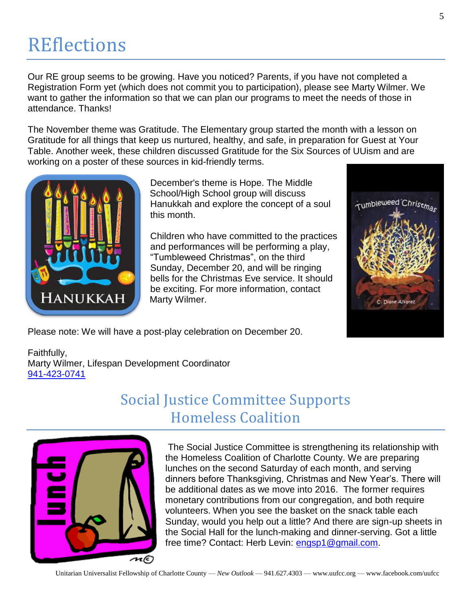## **REflections**

Our RE group seems to be growing. Have you noticed? Parents, if you have not completed a Registration Form yet (which does not commit you to participation), please see Marty Wilmer. We want to gather the information so that we can plan our programs to meet the needs of those in attendance. Thanks!

The November theme was Gratitude. The Elementary group started the month with a lesson on Gratitude for all things that keep us nurtured, healthy, and safe, in preparation for Guest at Your Table. Another week, these children discussed Gratitude for the Six Sources of UUism and are working on a poster of these sources in kid-friendly terms.



December's theme is Hope. The Middle School/High School group will discuss Hanukkah and explore the concept of a soul this month.

Children who have committed to the practices and performances will be performing a play, "Tumbleweed Christmas", on the third Sunday, December 20, and will be ringing bells for the Christmas Eve service. It should be exciting. For more information, contact Marty Wilmer.



Faithfully, Marty Wilmer, Lifespan Development Coordinator [941-423-0741](tel:941-423-0741)

### Social Justice Committee Supports Homeless Coalition



The Social Justice Committee is strengthening its relationship with the Homeless Coalition of Charlotte County. We are preparing lunches on the second Saturday of each month, and serving dinners before Thanksgiving, Christmas and New Year's. There will be additional dates as we move into 2016. The former requires monetary contributions from our congregation, and both require volunteers. When you see the basket on the snack table each Sunday, would you help out a little? And there are sign-up sheets in the Social Hall for the lunch-making and dinner-serving. Got a little free time? Contact: Herb Levin: [engsp1@gmail.com.](mailto:engsp1@gmail.com)

Tumbleweed Christman

C. Diane Alvarez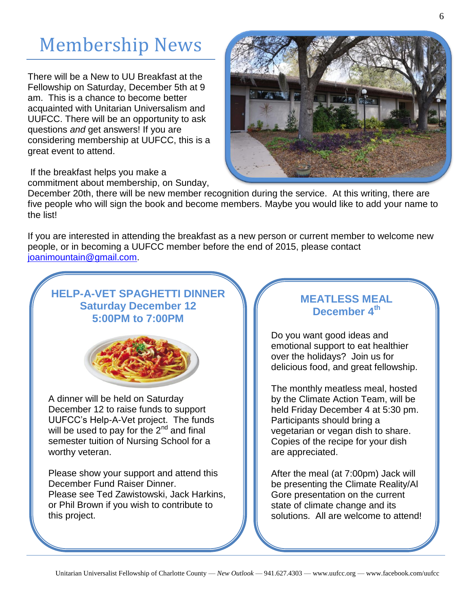# Membership News

There will be a New to UU Breakfast at the Fellowship on Saturday, December 5th at 9 am. This is a chance to become better acquainted with Unitarian Universalism and UUFCC. There will be an opportunity to ask questions *and* get answers! If you are considering membership at UUFCC, this is a great event to attend.

If the breakfast helps you make a commitment about membership, on Sunday,



December 20th, there will be new member recognition during the service. At this writing, there are five people who will sign the book and become members. Maybe you would like to add your name to the list!

If you are interested in attending the breakfast as a new person or current member to welcome new people, or in becoming a UUFCC member before the end of 2015, please contact [joanimountain@gmail.com.](mailto:joanimountain@gmail.com)

### **HELP-A-VET SPAGHETTI DINNER Saturday December 12 5:00PM to 7:00PM**



A dinner will be held on Saturday December 12 to raise funds to support UUFCC's Help-A-Vet project. The funds will be used to pay for the  $2^{nd}$  and final semester tuition of Nursing School for a worthy veteran.

Please show your support and attend this December Fund Raiser Dinner. Please see Ted Zawistowski, Jack Harkins, or Phil Brown if you wish to contribute to this project.

#### **MEATLESS MEAL December 4th**

Do you want good ideas and emotional support to eat healthier over the holidays? Join us for delicious food, and great fellowship.

The monthly meatless meal, hosted by the Climate Action Team, will be held Friday December 4 at 5:30 pm. Participants should bring a vegetarian or vegan dish to share. Copies of the recipe for your dish are appreciated.

After the meal (at 7:00pm) Jack will be presenting the Climate Reality/Al Gore presentation on the current state of climate change and its solutions. All are welcome to attend!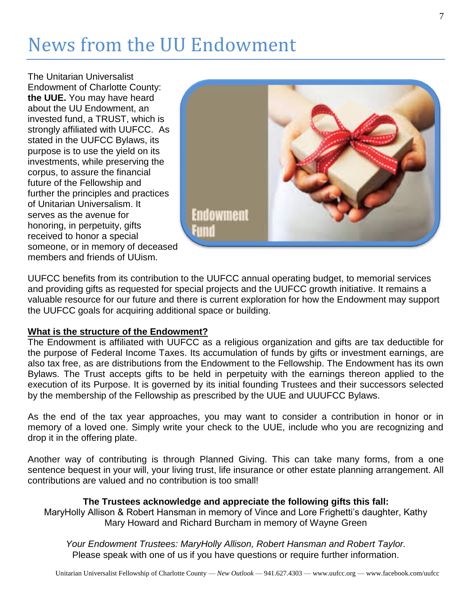# News from the UU Endowment

The Unitarian Universalist Endowment of Charlotte County: **the UUE.** You may have heard about the UU Endowment, an invested fund, a TRUST, which is strongly affiliated with UUFCC. As stated in the UUFCC Bylaws, its purpose is to use the yield on its investments, while preserving the corpus, to assure the financial future of the Fellowship and further the principles and practices of Unitarian Universalism. It serves as the avenue for honoring, in perpetuity, gifts received to honor a special someone, or in memory of deceased members and friends of UUism.



UUFCC benefits from its contribution to the UUFCC annual operating budget, to memorial services and providing gifts as requested for special projects and the UUFCC growth initiative. It remains a valuable resource for our future and there is current exploration for how the Endowment may support the UUFCC goals for acquiring additional space or building.

#### **What is the structure of the Endowment?**

The Endowment is affiliated with UUFCC as a religious organization and gifts are tax deductible for the purpose of Federal Income Taxes. Its accumulation of funds by gifts or investment earnings, are also tax free, as are distributions from the Endowment to the Fellowship. The Endowment has its own Bylaws. The Trust accepts gifts to be held in perpetuity with the earnings thereon applied to the execution of its Purpose. It is governed by its initial founding Trustees and their successors selected by the membership of the Fellowship as prescribed by the UUE and UUUFCC Bylaws.

As the end of the tax year approaches, you may want to consider a contribution in honor or in memory of a loved one. Simply write your check to the UUE, include who you are recognizing and drop it in the offering plate.

Another way of contributing is through Planned Giving. This can take many forms, from a one sentence bequest in your will, your living trust, life insurance or other estate planning arrangement. All contributions are valued and no contribution is too small!

#### **The Trustees acknowledge and appreciate the following gifts this fall:**

MaryHolly Allison & Robert Hansman in memory of Vince and Lore Frighetti's daughter, Kathy Mary Howard and Richard Burcham in memory of Wayne Green

*Your Endowment Trustees: MaryHolly Allison, Robert Hansman and Robert Taylor.* Please speak with one of us if you have questions or require further information.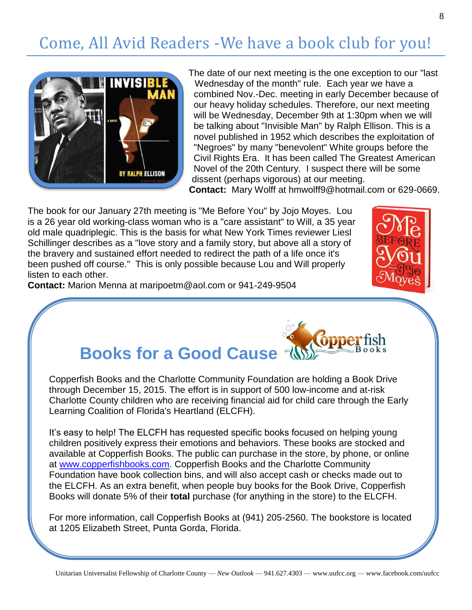### Come, All Avid Readers -We have a book club for you!



The date of our next meeting is the one exception to our "last Wednesday of the month" rule. Each year we have a combined Nov.-Dec. meeting in early December because of our heavy holiday schedules. Therefore, our next meeting will be Wednesday, December 9th at 1:30pm when we will be talking about "Invisible Man" by Ralph Ellison. This is a novel published in 1952 which describes the exploitation of "Negroes" by many "benevolent" White groups before the Civil Rights Era. It has been called The Greatest American Novel of the 20th Century. I suspect there will be some dissent (perhaps vigorous) at our meeting.

**Contact:** Mary Wolff at hmwolff9@hotmail.com or 629-0669.

The book for our January 27th meeting is "Me Before You" by Jojo Moyes. Lou is a 26 year old working-class woman who is a "care assistant" to Will, a 35 year old male quadriplegic. This is the basis for what New York Times reviewer Liesl Schillinger describes as a "love story and a family story, but above all a story of the bravery and sustained effort needed to redirect the path of a life once it's been pushed off course." This is only possible because Lou and Will properly listen to each other.



**Contact:** Marion Menna at maripoetm@aol.com or 941-249-9504



### **Books for a Good Cause**

Copperfish Books and the Charlotte Community Foundation are holding a Book Drive through December 15, 2015. The effort is in support of 500 low-income and at-risk Charlotte County children who are receiving financial aid for child care through the Early Learning Coalition of Florida's Heartland (ELCFH).

It's easy to help! The ELCFH has requested specific books focused on helping young children positively express their emotions and behaviors. These books are stocked and available at Copperfish Books. The public can purchase in the store, by phone, or online at [www.copperfishbooks.com.](http://www.copperfishbooks.com/) Copperfish Books and the Charlotte Community Foundation have book collection bins, and will also accept cash or checks made out to the ELCFH. As an extra benefit, when people buy books for the Book Drive, Copperfish Books will donate 5% of their **total** purchase (for anything in the store) to the ELCFH.

For more information, call Copperfish Books at (941) 205-2560. The bookstore is located at 1205 Elizabeth Street, Punta Gorda, Florida.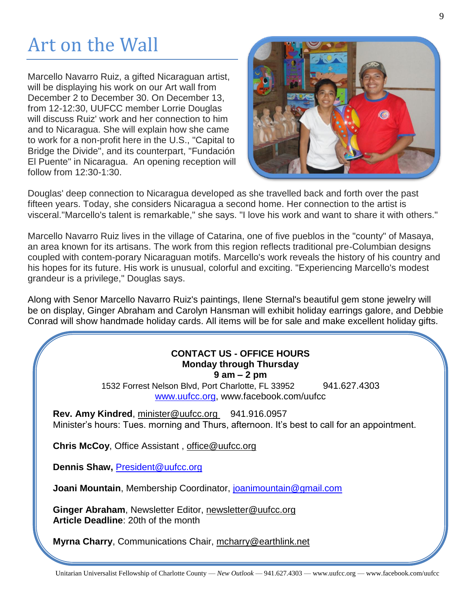# Art on the Wall

Marcello Navarro Ruiz, a gifted Nicaraguan artist, will be displaying his work on our Art wall from December 2 to December 30. On December 13, from 12-12:30, UUFCC member Lorrie Douglas will discuss Ruiz' work and her connection to him and to Nicaragua. She will explain how she came to work for a non-profit here in the U.S., "Capital to Bridge the Divide", and its counterpart, "Fundación El Puente" in Nicaragua. An opening reception will follow from 12:30-1:30.



Douglas' deep connection to Nicaragua developed as she travelled back and forth over the past fifteen years. Today, she considers Nicaragua a second home. Her connection to the artist is visceral."Marcello's talent is remarkable," she says. "I love his work and want to share it with others."

Marcello Navarro Ruiz lives in the village of Catarina, one of five pueblos in the "county" of Masaya, an area known for its artisans. The work from this region reflects traditional pre-Columbian designs coupled with contem-porary Nicaraguan motifs. Marcello's work reveals the history of his country and his hopes for its future. His work is unusual, colorful and exciting. "Experiencing Marcello's modest grandeur is a privilege," Douglas says.

Along with Senor Marcello Navarro Ruiz's paintings, Ilene Sternal's beautiful gem stone jewelry will be on display, Ginger Abraham and Carolyn Hansman will exhibit holiday earrings galore, and Debbie Conrad will show handmade holiday cards. All items will be for sale and make excellent holiday gifts.

### **CONTACT US - OFFICE HOURS Monday through Thursday**

**9 am – 2 pm**

1532 Forrest Nelson Blvd, Port Charlotte, FL 33952 941.627.4303 [www.uufcc.org,](http://www.uufcc.org/) www.facebook.com/uufcc

Rev. Amy Kindred, minister@uufcc.org 941.916.0957 Minister's hours: Tues. morning and Thurs, afternoon. It's best to call for an appointment.

**Chris McCoy**, Office Assistant , [office@uufcc.org](mailto:office@uufcc.org)

**Dennis Shaw,** [President@uufcc.org](mailto:President@uufcc.org)

**Joani Mountain**, Membership Coordinator, [joanimountain@gmail.com](mailto:joanimountain@gmail.com)

**Ginger Abraham**, Newsletter Editor, newsletter@uufcc.org **Article Deadline**: 20th of the month

**Myrna Charry**, Communications Chair, mcharry@earthlink.net